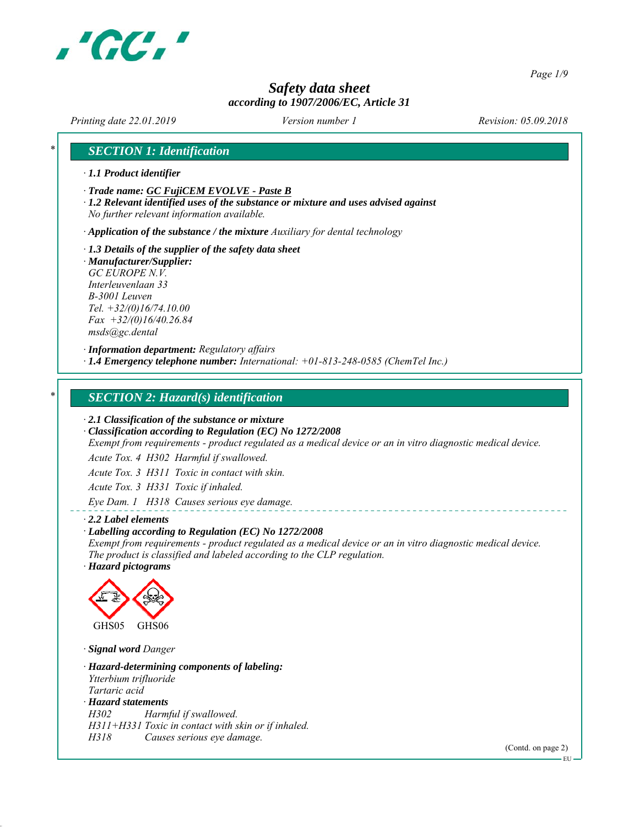

*Page 1/9*

# *Safety data sheet according to 1907/2006/EC, Article 31*

*Printing date 22.01.2019 Revision: 05.09.2018 Version number 1*

### *\* SECTION 1: Identification*

- *∙ 1.1 Product identifier*
- *∙ Trade name: GC FujiCEM EVOLVE Paste B*
- *∙ 1.2 Relevant identified uses of the substance or mixture and uses advised against No further relevant information available.*

*∙ Application of the substance / the mixture Auxiliary for dental technology*

- *∙ 1.3 Details of the supplier of the safety data sheet*
- *∙ Manufacturer/Supplier: GC EUROPE N.V. Interleuvenlaan 33 B-3001 Leuven Tel. +32/(0)16/74.10.00 Fax +32/(0)16/40.26.84 msds@gc.dental*

*∙ Information department: Regulatory affairs ∙ 1.4 Emergency telephone number: International: +01-813-248-0585 (ChemTel Inc.)*

#### *\* SECTION 2: Hazard(s) identification*

*∙ 2.1 Classification of the substance or mixture*

*∙ Classification according to Regulation (EC) No 1272/2008*

*Exempt from requirements - product regulated as a medical device or an in vitro diagnostic medical device.*

*Acute Tox. 4 H302 Harmful if swallowed.*

*Acute Tox. 3 H311 Toxic in contact with skin.*

*Acute Tox. 3 H331 Toxic if inhaled.*

*Eye Dam. 1 H318 Causes serious eye damage.*

#### *∙ 2.2 Label elements*

#### *∙ Labelling according to Regulation (EC) No 1272/2008*

*Exempt from requirements - product regulated as a medical device or an in vitro diagnostic medical device. The product is classified and labeled according to the CLP regulation. ∙ Hazard pictograms*



*∙ Signal word Danger*

*∙ Hazard-determining components of labeling: Ytterbium trifluoride Tartaric acid ∙ Hazard statements H302 Harmful if swallowed. H311+H331 Toxic in contact with skin or if inhaled. H318 Causes serious eye damage.*

(Contd. on page 2)

EU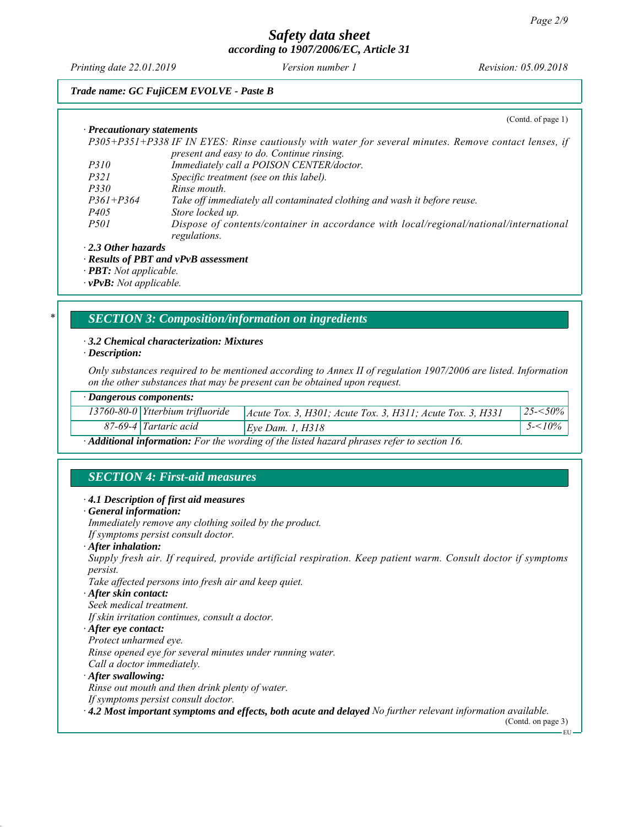*Printing date 22.01.2019 Revision: 05.09.2018 Version number 1*

#### *Trade name: GC FujiCEM EVOLVE - Paste B*

(Contd. of page 1)

| · Precautionary statements |                                                                                                       |
|----------------------------|-------------------------------------------------------------------------------------------------------|
|                            | P305+P351+P338 IF IN EYES: Rinse cautiously with water for several minutes. Remove contact lenses, if |
|                            | present and easy to do. Continue rinsing.                                                             |
| <i>P310</i>                | Immediately call a POISON CENTER/doctor.                                                              |
| <i>P321</i>                | Specific treatment (see on this label).                                                               |
| <i>P330</i>                | Rinse mouth.                                                                                          |
| $P361 + P364$              | Take off immediately all contaminated clothing and wash it before reuse.                              |
| <i>P405</i>                | Store locked up.                                                                                      |
| <i>P501</i>                | Dispose of contents/container in accordance with local/regional/national/international                |
|                            | regulations.                                                                                          |
| $\cdot$ 2.3 Other hazards  |                                                                                                       |

#### *∙ 2.3 Other hazards*

*∙ Results of PBT and vPvB assessment*

*∙ PBT: Not applicable.*

*∙ vPvB: Not applicable.*

#### *\* SECTION 3: Composition/information on ingredients*

#### *∙ 3.2 Chemical characterization: Mixtures*

*∙ Description:*

*Only substances required to be mentioned according to Annex II of regulation 1907/2006 are listed. Information on the other substances that may be present can be obtained upon request.*

#### *∙ Dangerous components:*

| $13760 - 80 - 0$ Ytterbium trifluoride | $ $ Acute Tox. 3, H301; Acute Tox. 3, H311; Acute Tox. 3, H331 | $25 - 50\%$ |
|----------------------------------------|----------------------------------------------------------------|-------------|
| 87-69-4 Tartaric acid                  | Eye Dam. 1, $H318$                                             | $10\%$      |
|                                        |                                                                |             |

*∙ Additional information: For the wording of the listed hazard phrases refer to section 16.*

# *SECTION 4: First-aid measures*

#### *∙ 4.1 Description of first aid measures*

*∙ General information:*

*Immediately remove any clothing soiled by the product. If symptoms persist consult doctor.*

- 
- *∙ After inhalation:*

*Supply fresh air. If required, provide artificial respiration. Keep patient warm. Consult doctor if symptoms persist.*

*Take affected persons into fresh air and keep quiet.*

*∙ After skin contact:*

*Seek medical treatment.*

*If skin irritation continues, consult a doctor.*

*∙ After eye contact:*

*Protect unharmed eye.*

*Rinse opened eye for several minutes under running water.*

- *Call a doctor immediately.*
- *∙ After swallowing:*

*Rinse out mouth and then drink plenty of water.*

*If symptoms persist consult doctor.*

*∙ 4.2 Most important symptoms and effects, both acute and delayed No further relevant information available.*

(Contd. on page 3)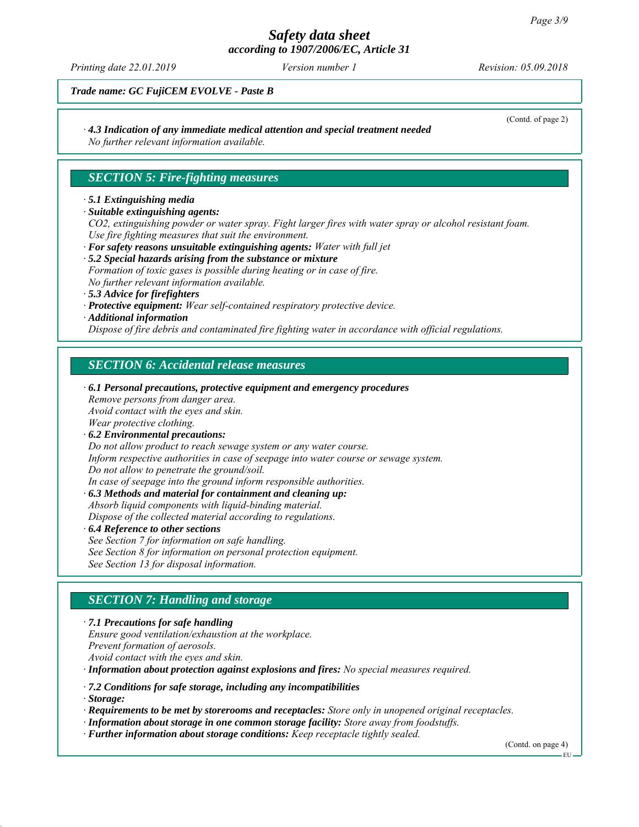# *Safety data sheet*

*according to 1907/2006/EC, Article 31*

*Printing date 22.01.2019 Revision: 05.09.2018 Version number 1*

(Contd. of page 2)

*Trade name: GC FujiCEM EVOLVE - Paste B*

## *∙ 4.3 Indication of any immediate medical attention and special treatment needed*

*No further relevant information available.*

## *SECTION 5: Fire-fighting measures*

#### *∙ 5.1 Extinguishing media*

#### *∙ Suitable extinguishing agents:*

*CO2, extinguishing powder or water spray. Fight larger fires with water spray or alcohol resistant foam. Use fire fighting measures that suit the environment.*

- *∙ For safety reasons unsuitable extinguishing agents: Water with full jet*
- *∙ 5.2 Special hazards arising from the substance or mixture Formation of toxic gases is possible during heating or in case of fire.*
- *No further relevant information available.*
- *∙ 5.3 Advice for firefighters*
- *∙ Protective equipment: Wear self-contained respiratory protective device.*
- *∙ Additional information*

*Dispose of fire debris and contaminated fire fighting water in accordance with official regulations.*

# *SECTION 6: Accidental release measures*

- *∙ 6.1 Personal precautions, protective equipment and emergency procedures Remove persons from danger area. Avoid contact with the eyes and skin. Wear protective clothing. ∙ 6.2 Environmental precautions: Do not allow product to reach sewage system or any water course. Inform respective authorities in case of seepage into water course or sewage system. Do not allow to penetrate the ground/soil. In case of seepage into the ground inform responsible authorities. ∙ 6.3 Methods and material for containment and cleaning up: Absorb liquid components with liquid-binding material.*
	- *Dispose of the collected material according to regulations.*
- *∙ 6.4 Reference to other sections See Section 7 for information on safe handling.*
- *See Section 8 for information on personal protection equipment.*
- *See Section 13 for disposal information.*

# *SECTION 7: Handling and storage*

*∙ 7.1 Precautions for safe handling Ensure good ventilation/exhaustion at the workplace. Prevent formation of aerosols. Avoid contact with the eyes and skin. ∙ Information about protection against explosions and fires: No special measures required.*

*∙ 7.2 Conditions for safe storage, including any incompatibilities*

*∙ Storage:*

*∙ Requirements to be met by storerooms and receptacles: Store only in unopened original receptacles.*

- *∙ Information about storage in one common storage facility: Store away from foodstuffs.*
- *∙ Further information about storage conditions: Keep receptacle tightly sealed.*

(Contd. on page 4)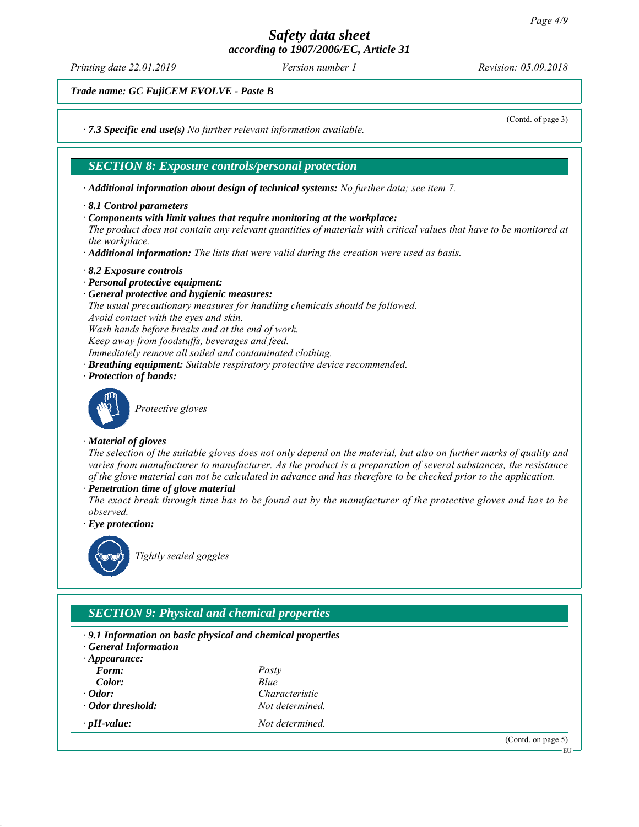*Printing date 22.01.2019 Revision: 05.09.2018 Version number 1*

(Contd. of page 3)

*Trade name: GC FujiCEM EVOLVE - Paste B*

*∙ 7.3 Specific end use(s) No further relevant information available.*

#### *SECTION 8: Exposure controls/personal protection*

*∙ Additional information about design of technical systems: No further data; see item 7.*

- *∙ 8.1 Control parameters*
- *∙ Components with limit values that require monitoring at the workplace:*

*The product does not contain any relevant quantities of materials with critical values that have to be monitored at the workplace.*

- *∙ Additional information: The lists that were valid during the creation were used as basis.*
- *∙ 8.2 Exposure controls*
- *∙ Personal protective equipment:*
- *∙ General protective and hygienic measures: The usual precautionary measures for handling chemicals should be followed. Avoid contact with the eyes and skin. Wash hands before breaks and at the end of work. Keep away from foodstuffs, beverages and feed. Immediately remove all soiled and contaminated clothing. ∙ Breathing equipment: Suitable respiratory protective device recommended.*
- *∙ Protection of hands:*



*Protective gloves*

#### *∙ Material of gloves*

*The selection of the suitable gloves does not only depend on the material, but also on further marks of quality and varies from manufacturer to manufacturer. As the product is a preparation of several substances, the resistance of the glove material can not be calculated in advance and has therefore to be checked prior to the application.*

*∙ Penetration time of glove material*

*The exact break through time has to be found out by the manufacturer of the protective gloves and has to be observed.*

*∙ Eye protection:*



*Tightly sealed goggles*

# *SECTION 9: Physical and chemical properties*

- *∙ 9.1 Information on basic physical and chemical properties ∙ General Information*
- *∙ Appearance:*
- *Form: Pasty*
- 
- 
- 
- *Color: Blue ∙ Odor: Characteristic ∙ Odor threshold: Not determined. ∙ pH-value: Not determined.*

(Contd. on page 5)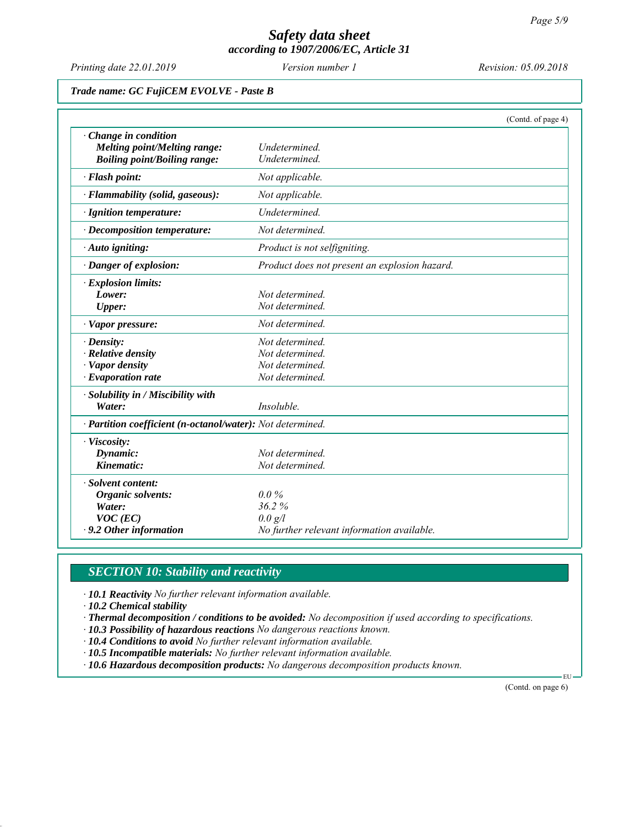*Printing date 22.01.2019 Revision: 05.09.2018 Version number 1*

#### *Trade name: GC FujiCEM EVOLVE - Paste B*

|                                                             | (Contd. of page 4)                            |  |
|-------------------------------------------------------------|-----------------------------------------------|--|
| $\cdot$ Change in condition<br>Melting point/Melting range: | Undetermined.                                 |  |
| <b>Boiling point/Boiling range:</b>                         | Undetermined.                                 |  |
| · Flash point:                                              | Not applicable.                               |  |
| · Flammability (solid, gaseous):                            | Not applicable.                               |  |
| · Ignition temperature:                                     | Undetermined.                                 |  |
| $\cdot$ Decomposition temperature:                          | Not determined.                               |  |
| · Auto igniting:                                            | Product is not selfigniting.                  |  |
| · Danger of explosion:                                      | Product does not present an explosion hazard. |  |
| · Explosion limits:                                         |                                               |  |
| Lower:                                                      | Not determined.                               |  |
| <b>Upper:</b>                                               | Not determined.                               |  |
| · Vapor pressure:                                           | Not determined.                               |  |
| $\cdot$ Density:                                            | Not determined.                               |  |
| $\cdot$ Relative density                                    | Not determined.                               |  |
| · Vapor density                                             | Not determined.                               |  |
| $\cdot$ Evaporation rate                                    | Not determined.                               |  |
| · Solubility in / Miscibility with                          |                                               |  |
| Water:                                                      | Insoluble.                                    |  |
| · Partition coefficient (n-octanol/water): Not determined.  |                                               |  |
| · Viscosity:                                                |                                               |  |
| Dynamic:                                                    | Not determined.                               |  |
| Kinematic:                                                  | Not determined.                               |  |
| · Solvent content:                                          |                                               |  |
| Organic solvents:                                           | $0.0\%$                                       |  |
| Water:                                                      | 36.2%                                         |  |
| $VOC$ (EC)                                                  | $0.0 \text{ g}/l$                             |  |
| $\cdot$ 9.2 Other information                               | No further relevant information available.    |  |

# *SECTION 10: Stability and reactivity*

*∙ 10.1 Reactivity No further relevant information available.*

*∙ 10.2 Chemical stability*

- *∙ Thermal decomposition / conditions to be avoided: No decomposition if used according to specifications.*
- *∙ 10.3 Possibility of hazardous reactions No dangerous reactions known.*
- *∙ 10.4 Conditions to avoid No further relevant information available.*
- *∙ 10.5 Incompatible materials: No further relevant information available.*
- *∙ 10.6 Hazardous decomposition products: No dangerous decomposition products known.*

(Contd. on page 6)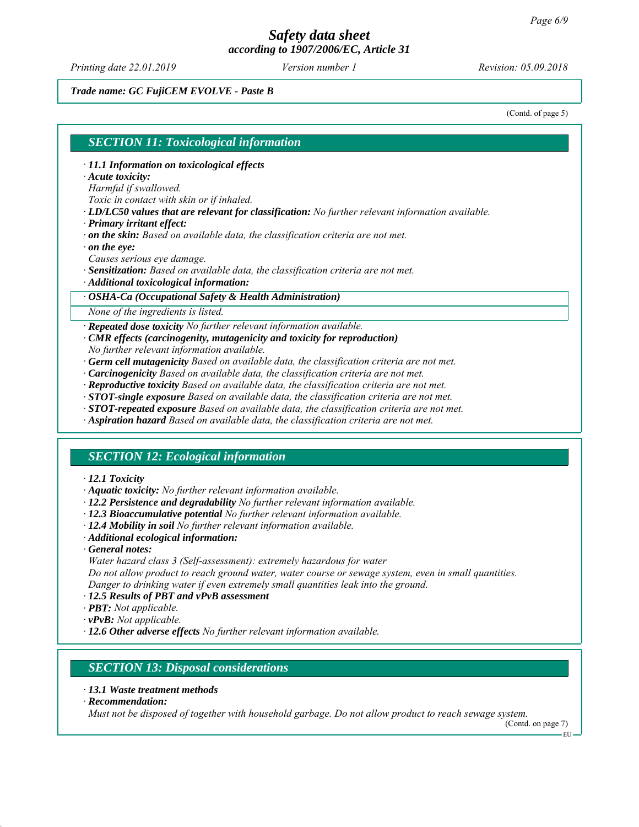*Printing date 22.01.2019 Revision: 05.09.2018 Version number 1*

#### *Trade name: GC FujiCEM EVOLVE - Paste B*

(Contd. of page 5)

#### *SECTION 11: Toxicological information*

- *∙ 11.1 Information on toxicological effects*
- *∙ Acute toxicity:*

*Harmful if swallowed.*

*Toxic in contact with skin or if inhaled.*

- *∙ LD/LC50 values that are relevant for classification: No further relevant information available.*
- *∙ Primary irritant effect:*
- *∙ on the skin: Based on available data, the classification criteria are not met.*
- *∙ on the eye:*
- *Causes serious eye damage.*
- *∙ Sensitization: Based on available data, the classification criteria are not met.*
- *∙ Additional toxicological information:*

#### *∙ OSHA-Ca (Occupational Safety & Health Administration)*

*None of the ingredients is listed.*

#### *∙ Repeated dose toxicity No further relevant information available.*

- *∙ CMR effects (carcinogenity, mutagenicity and toxicity for reproduction) No further relevant information available.*
- *∙ Germ cell mutagenicity Based on available data, the classification criteria are not met.*
- *∙ Carcinogenicity Based on available data, the classification criteria are not met.*
- *∙ Reproductive toxicity Based on available data, the classification criteria are not met.*
- *∙ STOT-single exposure Based on available data, the classification criteria are not met.*
- *∙ STOT-repeated exposure Based on available data, the classification criteria are not met.*
- *∙ Aspiration hazard Based on available data, the classification criteria are not met.*

#### *SECTION 12: Ecological information*

#### *∙ 12.1 Toxicity*

- *∙ Aquatic toxicity: No further relevant information available.*
- *∙ 12.2 Persistence and degradability No further relevant information available.*
- *∙ 12.3 Bioaccumulative potential No further relevant information available.*
- *∙ 12.4 Mobility in soil No further relevant information available.*
- *∙ Additional ecological information:*
- *∙ General notes:*
- *Water hazard class 3 (Self-assessment): extremely hazardous for water*

*Do not allow product to reach ground water, water course or sewage system, even in small quantities. Danger to drinking water if even extremely small quantities leak into the ground.*

- *∙ 12.5 Results of PBT and vPvB assessment*
- *∙ PBT: Not applicable.*
- *∙ vPvB: Not applicable.*
- *∙ 12.6 Other adverse effects No further relevant information available.*

#### *SECTION 13: Disposal considerations*

- *∙ 13.1 Waste treatment methods*
- *∙ Recommendation:*

*Must not be disposed of together with household garbage. Do not allow product to reach sewage system.*

(Contd. on page 7)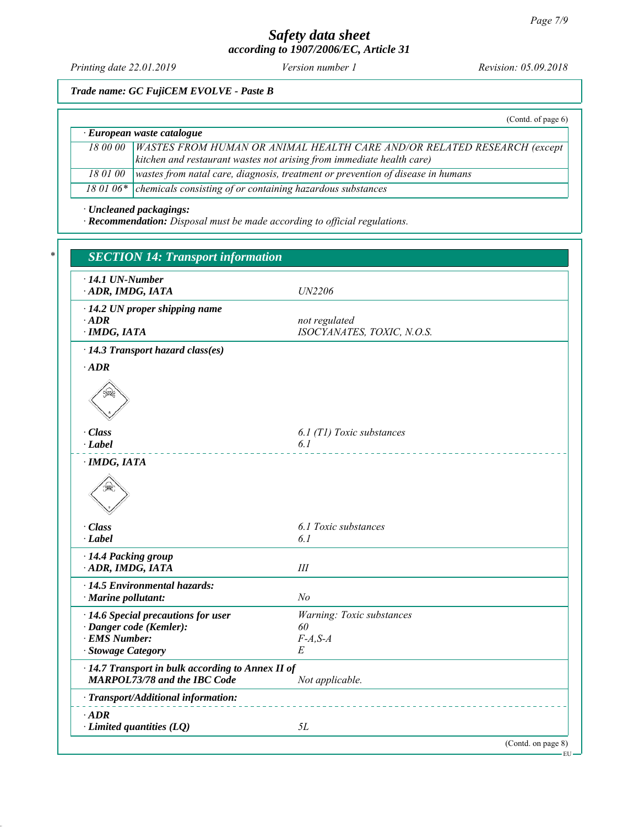# *Safety data sheet*

*according to 1907/2006/EC, Article 31*

*Printing date 22.01.2019 Revision: 05.09.2018 Version number 1*

*Trade name: GC FujiCEM EVOLVE - Paste B*

(Contd. of page 6)

# *∙ European waste catalogue*

*18 00 00 WASTES FROM HUMAN OR ANIMAL HEALTH CARE AND/OR RELATED RESEARCH (except kitchen and restaurant wastes not arising from immediate health care) 18 01 00 wastes from natal care, diagnosis, treatment or prevention of disease in humans*

*18 01 06\* chemicals consisting of or containing hazardous substances*

*∙ Uncleaned packagings:*

*∙ Recommendation: Disposal must be made according to official regulations.*

| <b>SECTION 14: Transport information</b>                                                              |                                                    |  |
|-------------------------------------------------------------------------------------------------------|----------------------------------------------------|--|
| $\cdot$ 14.1 UN-Number<br>ADR, IMDG, IATA                                                             | UN2206                                             |  |
| · 14.2 UN proper shipping name<br>$\cdot$ ADR<br>$\cdot$ IMDG, IATA                                   | not regulated<br>ISOCYANATES, TOXIC, N.O.S.        |  |
| $\cdot$ 14.3 Transport hazard class(es)                                                               |                                                    |  |
| $\cdot$ ADR                                                                                           |                                                    |  |
|                                                                                                       |                                                    |  |
| · Class                                                                                               | 6.1 (T1) Toxic substances                          |  |
| · Label                                                                                               | 6.1                                                |  |
| ₩                                                                                                     |                                                    |  |
| · Class<br>$\cdot$ Label                                                                              | 6.1 Toxic substances<br>6.1                        |  |
| · 14.4 Packing group<br>ADR, IMDG, IATA                                                               | III                                                |  |
| · 14.5 Environmental hazards:<br>$\cdot$ Marine pollutant:                                            | No                                                 |  |
| · 14.6 Special precautions for user<br>· Danger code (Kemler):<br>· EMS Number:<br>· Stowage Category | Warning: Toxic substances<br>60<br>$F-A, S-A$<br>Е |  |
| · 14.7 Transport in bulk according to Annex II of<br><b>MARPOL73/78 and the IBC Code</b>              | Not applicable.                                    |  |
| · Transport/Additional information:                                                                   |                                                    |  |
| $\cdot$ ADR<br>$\cdot$ Limited quantities (LQ)                                                        | 5L                                                 |  |
|                                                                                                       | (Contd. on page 8)                                 |  |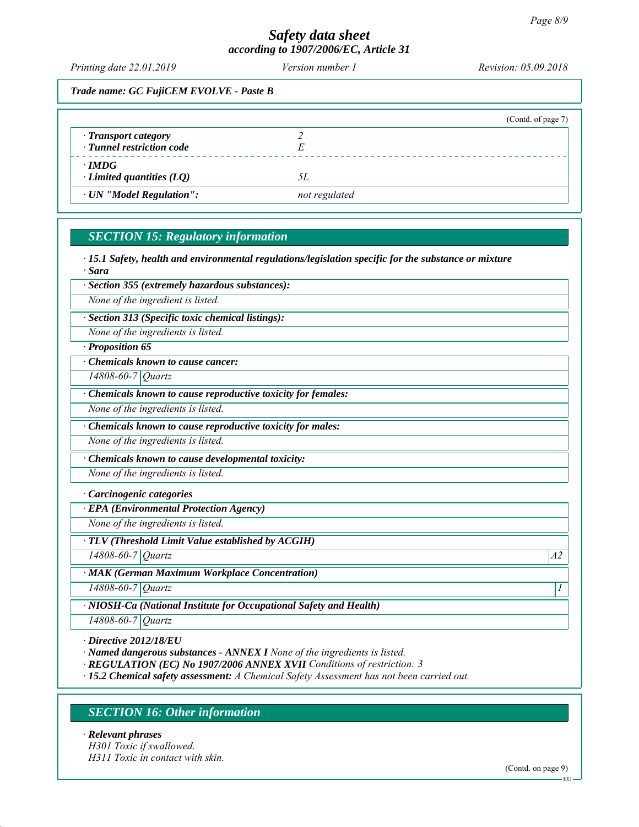# *Safety data sheet*

*according to 1907/2006/EC, Article 31*

*Printing date 22.01.2019 Revision: 05.09.2018 Version number 1*

*Trade name: GC FujiCEM EVOLVE - Paste B*

|                                                   | (Contd. of page 7) |
|---------------------------------------------------|--------------------|
| · Transport category<br>· Tunnel restriction code |                    |
| $\cdot$ IMDG<br>$\cdot$ Limited quantities (LQ)   | 5Ι.                |
| · UN "Model Regulation":                          | not regulated      |

# *SECTION 15: Regulatory information*

*∙ 15.1 Safety, health and environmental regulations/legislation specific for the substance or mixture ∙ Sara*

*∙ Section 355 (extremely hazardous substances):*

*None of the ingredient is listed.*

*∙ Section 313 (Specific toxic chemical listings):*

*None of the ingredients is listed.*

*∙ Proposition 65*

*∙ Chemicals known to cause cancer:*

*14808-60-7 Quartz*

*∙ Chemicals known to cause reproductive toxicity for females:*

*None of the ingredients is listed.*

*∙ Chemicals known to cause reproductive toxicity for males:*

*None of the ingredients is listed.*

*∙ Chemicals known to cause developmental toxicity:*

*None of the ingredients is listed.*

*∙ Carcinogenic categories*

*∙ EPA (Environmental Protection Agency)*

*None of the ingredients is listed.*

*∙ TLV (Threshold Limit Value established by ACGIH)*

*14808-60-7 Quartz A2*

*∙ MAK (German Maximum Workplace Concentration)*

*14808-60-7 Quartz 1* 

*14808-60-7 Quartz*

*∙ NIOSH-Ca (National Institute for Occupational Safety and Health)*

*∙ Directive 2012/18/EU*

*∙ Named dangerous substances - ANNEX I None of the ingredients is listed.*

*∙ REGULATION (EC) No 1907/2006 ANNEX XVII Conditions of restriction: 3*

*∙ 15.2 Chemical safety assessment: A Chemical Safety Assessment has not been carried out.*

# *SECTION 16: Other information*

*∙ Relevant phrases*

*H301 Toxic if swallowed. H311 Toxic in contact with skin.*